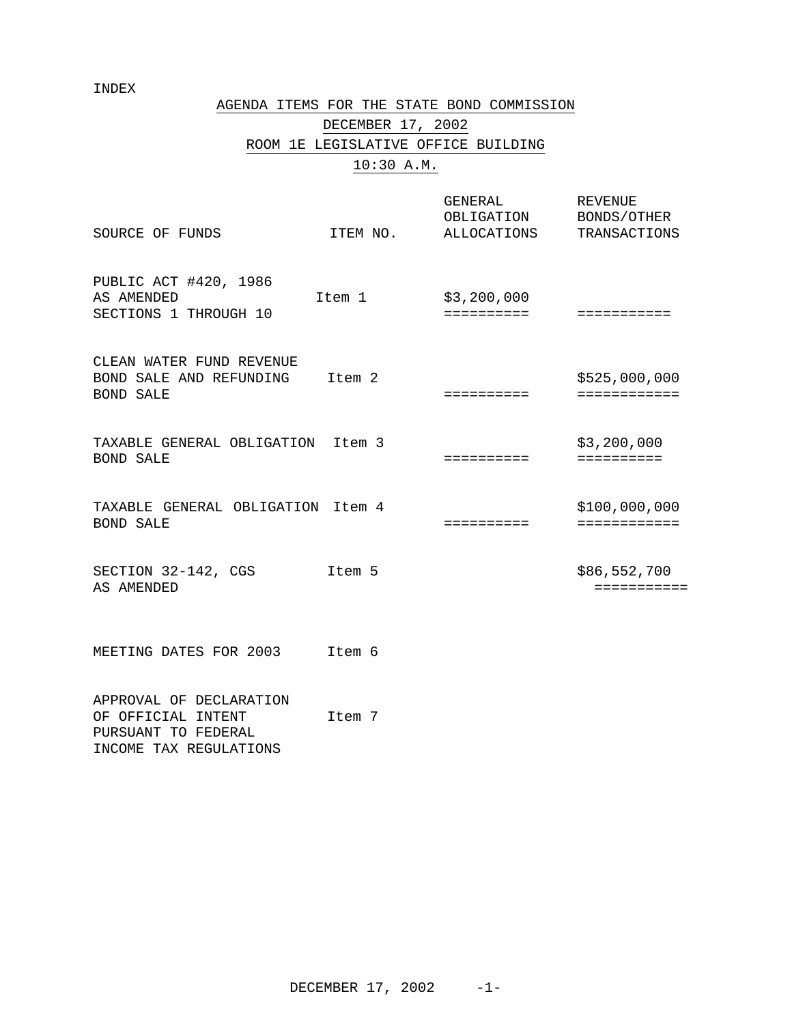INDEX

## AGENDA ITEMS FOR THE STATE BOND COMMISSION

DECEMBER 17, 2002 ROOM 1E LEGISLATIVE OFFICE BUILDING

# 10:30 A.M.

| SOURCE OF FUNDS                                                                                | ITEM NO. | GENERAL<br>OBLIGATION BONDS/OTHER<br>ALLOCATIONS | <b>REVENUE</b><br>TRANSACTIONS |
|------------------------------------------------------------------------------------------------|----------|--------------------------------------------------|--------------------------------|
| PUBLIC ACT #420, 1986<br>AS AMENDED<br>SECTIONS 1 THROUGH 10                                   | Item 1   | \$3,200,000<br>==========                        | ===========                    |
| CLEAN WATER FUND REVENUE<br>BOND SALE AND REFUNDING Item 2<br><b>BOND SALE</b>                 |          | ==========                                       | \$525,000,000<br>============  |
| TAXABLE GENERAL OBLIGATION Item 3<br><b>BOND SALE</b>                                          |          | ==========                                       | \$3,200,000<br>==========      |
| TAXABLE GENERAL OBLIGATION Item 4<br><b>BOND SALE</b>                                          |          | ==========                                       | \$100,000,000<br>============  |
| SECTION 32-142, CGS<br>AS AMENDED                                                              | Item 5   |                                                  | \$86,552,700<br>===========    |
| MEETING DATES FOR 2003                                                                         | Item 6   |                                                  |                                |
| APPROVAL OF DECLARATION<br>OF OFFICIAL INTENT<br>PURSUANT TO FEDERAL<br>INCOME TAX REGULATIONS | Item 7   |                                                  |                                |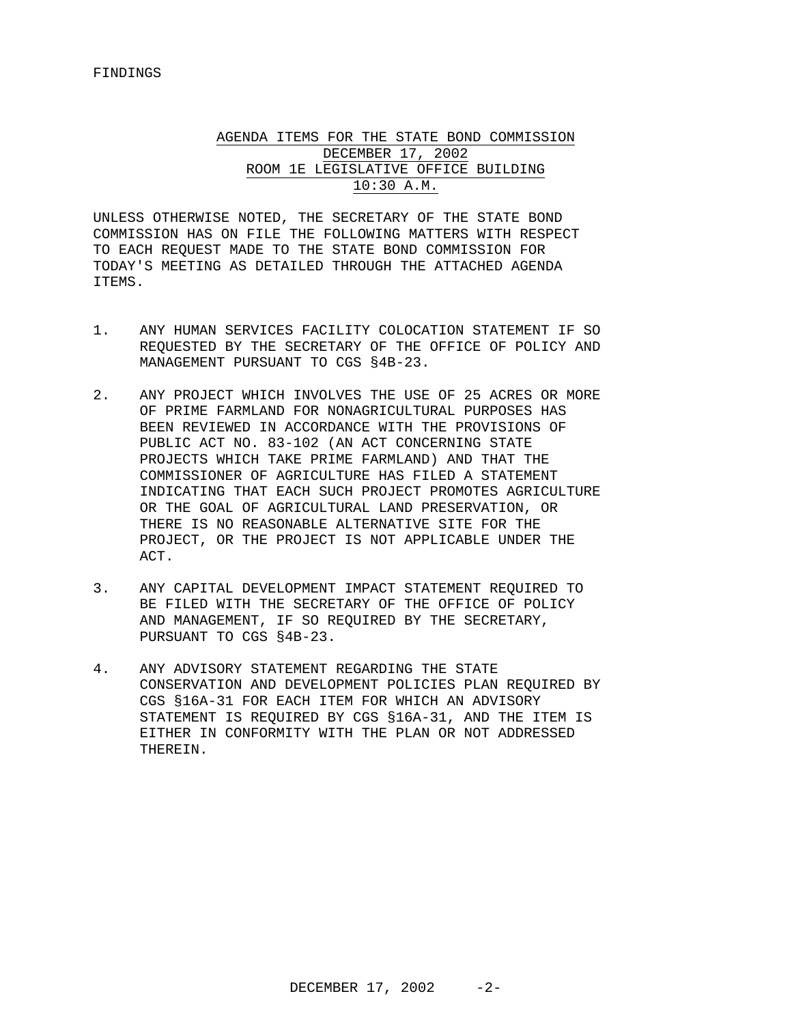## AGENDA ITEMS FOR THE STATE BOND COMMISSION DECEMBER 17, 2002 ROOM 1E LEGISLATIVE OFFICE BUILDING 10:30 A.M.

UNLESS OTHERWISE NOTED, THE SECRETARY OF THE STATE BOND COMMISSION HAS ON FILE THE FOLLOWING MATTERS WITH RESPECT TO EACH REQUEST MADE TO THE STATE BOND COMMISSION FOR TODAY'S MEETING AS DETAILED THROUGH THE ATTACHED AGENDA ITEMS.

- 1. ANY HUMAN SERVICES FACILITY COLOCATION STATEMENT IF SO REQUESTED BY THE SECRETARY OF THE OFFICE OF POLICY AND MANAGEMENT PURSUANT TO CGS §4B-23.
- 2. ANY PROJECT WHICH INVOLVES THE USE OF 25 ACRES OR MORE OF PRIME FARMLAND FOR NONAGRICULTURAL PURPOSES HAS BEEN REVIEWED IN ACCORDANCE WITH THE PROVISIONS OF PUBLIC ACT NO. 83-102 (AN ACT CONCERNING STATE PROJECTS WHICH TAKE PRIME FARMLAND) AND THAT THE COMMISSIONER OF AGRICULTURE HAS FILED A STATEMENT INDICATING THAT EACH SUCH PROJECT PROMOTES AGRICULTURE OR THE GOAL OF AGRICULTURAL LAND PRESERVATION, OR THERE IS NO REASONABLE ALTERNATIVE SITE FOR THE PROJECT, OR THE PROJECT IS NOT APPLICABLE UNDER THE ACT.
- 3. ANY CAPITAL DEVELOPMENT IMPACT STATEMENT REQUIRED TO BE FILED WITH THE SECRETARY OF THE OFFICE OF POLICY AND MANAGEMENT, IF SO REQUIRED BY THE SECRETARY, PURSUANT TO CGS §4B-23.
- 4. ANY ADVISORY STATEMENT REGARDING THE STATE CONSERVATION AND DEVELOPMENT POLICIES PLAN REQUIRED BY CGS §16A-31 FOR EACH ITEM FOR WHICH AN ADVISORY STATEMENT IS REQUIRED BY CGS §16A-31, AND THE ITEM IS EITHER IN CONFORMITY WITH THE PLAN OR NOT ADDRESSED THEREIN.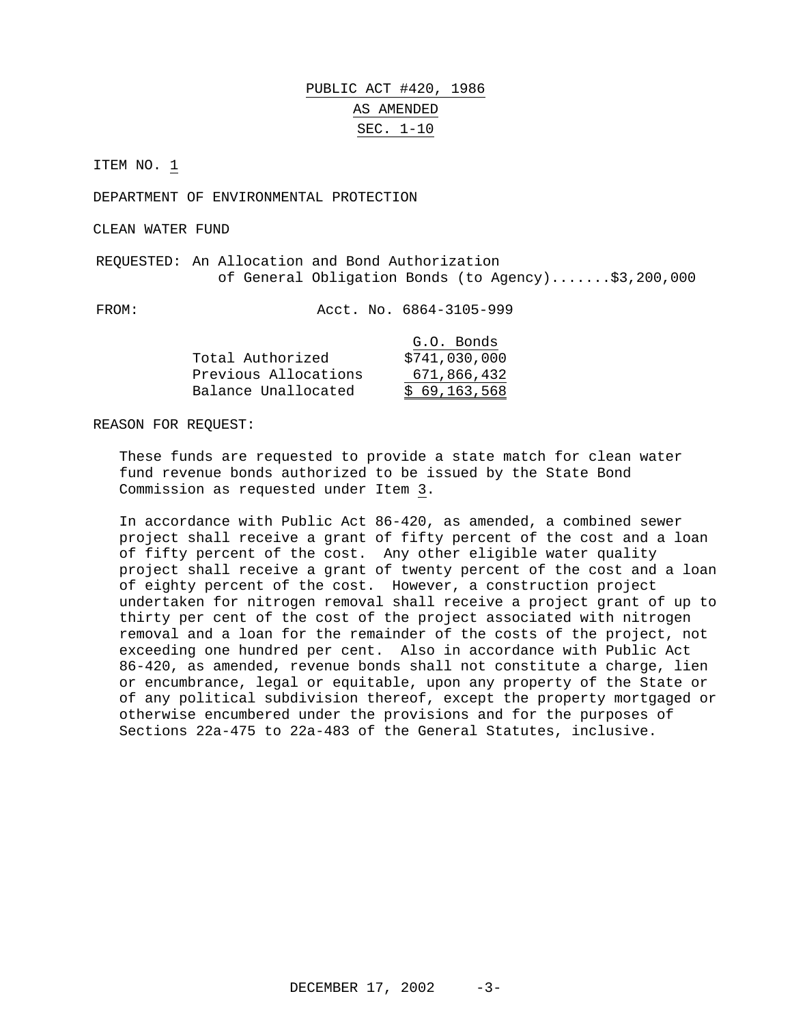# PUBLIC ACT #420, 1986 AS AMENDED SEC. 1-10

ITEM NO. 1

DEPARTMENT OF ENVIRONMENTAL PROTECTION

CLEAN WATER FUND

REQUESTED: An Allocation and Bond Authorization of General Obligation Bonds (to Agency).......\$3,200,000

FROM: Acct. No. 6864-3105-999

|                      | G.O. Bonds    |
|----------------------|---------------|
| Total Authorized     | \$741,030,000 |
| Previous Allocations | 671,866,432   |
| Balance Unallocated  | \$69,163,568  |

REASON FOR REQUEST:

These funds are requested to provide a state match for clean water fund revenue bonds authorized to be issued by the State Bond Commission as requested under Item 3.

In accordance with Public Act 86-420, as amended, a combined sewer project shall receive a grant of fifty percent of the cost and a loan of fifty percent of the cost. Any other eligible water quality project shall receive a grant of twenty percent of the cost and a loan of eighty percent of the cost. However, a construction project undertaken for nitrogen removal shall receive a project grant of up to thirty per cent of the cost of the project associated with nitrogen removal and a loan for the remainder of the costs of the project, not exceeding one hundred per cent. Also in accordance with Public Act 86-420, as amended, revenue bonds shall not constitute a charge, lien or encumbrance, legal or equitable, upon any property of the State or of any political subdivision thereof, except the property mortgaged or otherwise encumbered under the provisions and for the purposes of Sections 22a-475 to 22a-483 of the General Statutes, inclusive.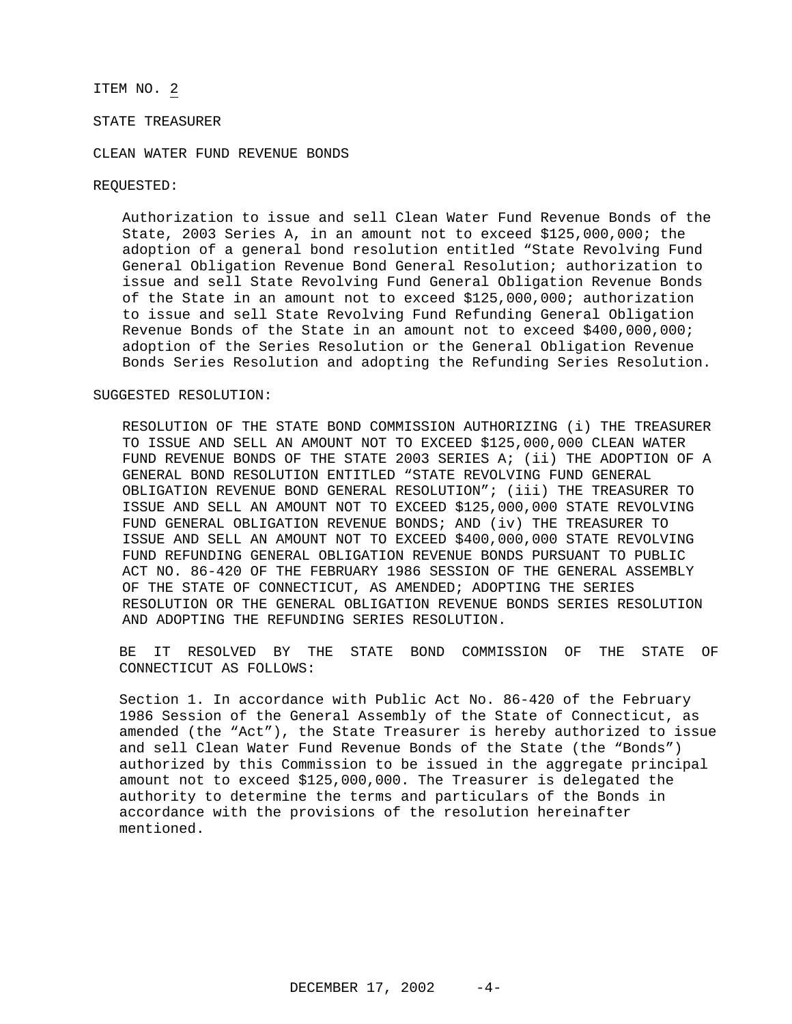### STATE TREASURER

#### CLEAN WATER FUND REVENUE BONDS

#### REQUESTED:

Authorization to issue and sell Clean Water Fund Revenue Bonds of the State, 2003 Series A, in an amount not to exceed \$125,000,000; the adoption of a general bond resolution entitled "State Revolving Fund General Obligation Revenue Bond General Resolution; authorization to issue and sell State Revolving Fund General Obligation Revenue Bonds of the State in an amount not to exceed \$125,000,000; authorization to issue and sell State Revolving Fund Refunding General Obligation Revenue Bonds of the State in an amount not to exceed \$400,000,000; adoption of the Series Resolution or the General Obligation Revenue Bonds Series Resolution and adopting the Refunding Series Resolution.

#### SUGGESTED RESOLUTION:

RESOLUTION OF THE STATE BOND COMMISSION AUTHORIZING (i) THE TREASURER TO ISSUE AND SELL AN AMOUNT NOT TO EXCEED \$125,000,000 CLEAN WATER FUND REVENUE BONDS OF THE STATE 2003 SERIES A; (ii) THE ADOPTION OF A GENERAL BOND RESOLUTION ENTITLED "STATE REVOLVING FUND GENERAL OBLIGATION REVENUE BOND GENERAL RESOLUTION"; (iii) THE TREASURER TO ISSUE AND SELL AN AMOUNT NOT TO EXCEED \$125,000,000 STATE REVOLVING FUND GENERAL OBLIGATION REVENUE BONDS; AND (iv) THE TREASURER TO ISSUE AND SELL AN AMOUNT NOT TO EXCEED \$400,000,000 STATE REVOLVING FUND REFUNDING GENERAL OBLIGATION REVENUE BONDS PURSUANT TO PUBLIC ACT NO. 86-420 OF THE FEBRUARY 1986 SESSION OF THE GENERAL ASSEMBLY OF THE STATE OF CONNECTICUT, AS AMENDED; ADOPTING THE SERIES RESOLUTION OR THE GENERAL OBLIGATION REVENUE BONDS SERIES RESOLUTION AND ADOPTING THE REFUNDING SERIES RESOLUTION.

BE IT RESOLVED BY THE STATE BOND COMMISSION OF THE STATE OF CONNECTICUT AS FOLLOWS:

Section 1. In accordance with Public Act No. 86-420 of the February 1986 Session of the General Assembly of the State of Connecticut, as amended (the "Act"), the State Treasurer is hereby authorized to issue and sell Clean Water Fund Revenue Bonds of the State (the "Bonds") authorized by this Commission to be issued in the aggregate principal amount not to exceed \$125,000,000. The Treasurer is delegated the authority to determine the terms and particulars of the Bonds in accordance with the provisions of the resolution hereinafter mentioned.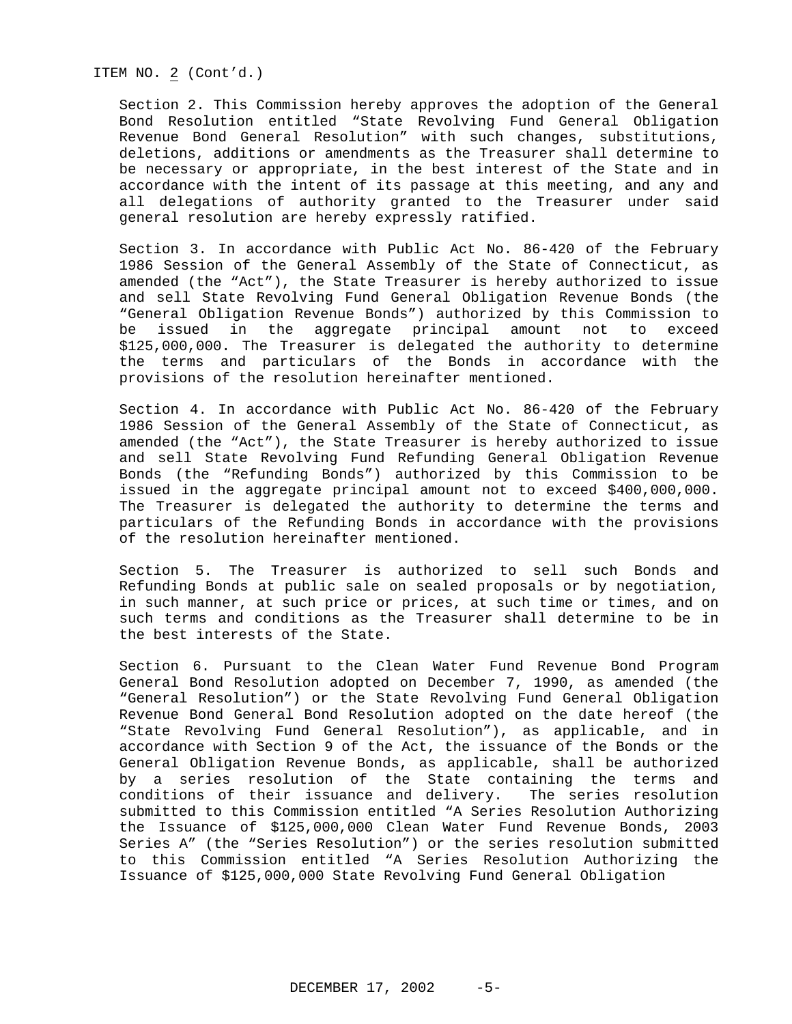ITEM NO. 2 (Cont'd.)

Section 2. This Commission hereby approves the adoption of the General Bond Resolution entitled "State Revolving Fund General Obligation Revenue Bond General Resolution" with such changes, substitutions, deletions, additions or amendments as the Treasurer shall determine to be necessary or appropriate, in the best interest of the State and in accordance with the intent of its passage at this meeting, and any and all delegations of authority granted to the Treasurer under said general resolution are hereby expressly ratified.

Section 3. In accordance with Public Act No. 86-420 of the February 1986 Session of the General Assembly of the State of Connecticut, as amended (the "Act"), the State Treasurer is hereby authorized to issue and sell State Revolving Fund General Obligation Revenue Bonds (the "General Obligation Revenue Bonds") authorized by this Commission to be issued in the aggregate principal amount not to exceed \$125,000,000. The Treasurer is delegated the authority to determine the terms and particulars of the Bonds in accordance with the provisions of the resolution hereinafter mentioned.

Section 4. In accordance with Public Act No. 86-420 of the February 1986 Session of the General Assembly of the State of Connecticut, as amended (the "Act"), the State Treasurer is hereby authorized to issue and sell State Revolving Fund Refunding General Obligation Revenue Bonds (the "Refunding Bonds") authorized by this Commission to be issued in the aggregate principal amount not to exceed \$400,000,000. The Treasurer is delegated the authority to determine the terms and particulars of the Refunding Bonds in accordance with the provisions of the resolution hereinafter mentioned.

Section 5. The Treasurer is authorized to sell such Bonds and Refunding Bonds at public sale on sealed proposals or by negotiation, in such manner, at such price or prices, at such time or times, and on such terms and conditions as the Treasurer shall determine to be in the best interests of the State.

Section 6. Pursuant to the Clean Water Fund Revenue Bond Program General Bond Resolution adopted on December 7, 1990, as amended (the "General Resolution") or the State Revolving Fund General Obligation Revenue Bond General Bond Resolution adopted on the date hereof (the "State Revolving Fund General Resolution"), as applicable, and in accordance with Section 9 of the Act, the issuance of the Bonds or the General Obligation Revenue Bonds, as applicable, shall be authorized by a series resolution of the State containing the terms and conditions of their issuance and delivery. The series resolution submitted to this Commission entitled "A Series Resolution Authorizing the Issuance of \$125,000,000 Clean Water Fund Revenue Bonds, 2003 Series A" (the "Series Resolution") or the series resolution submitted to this Commission entitled "A Series Resolution Authorizing the Issuance of \$125,000,000 State Revolving Fund General Obligation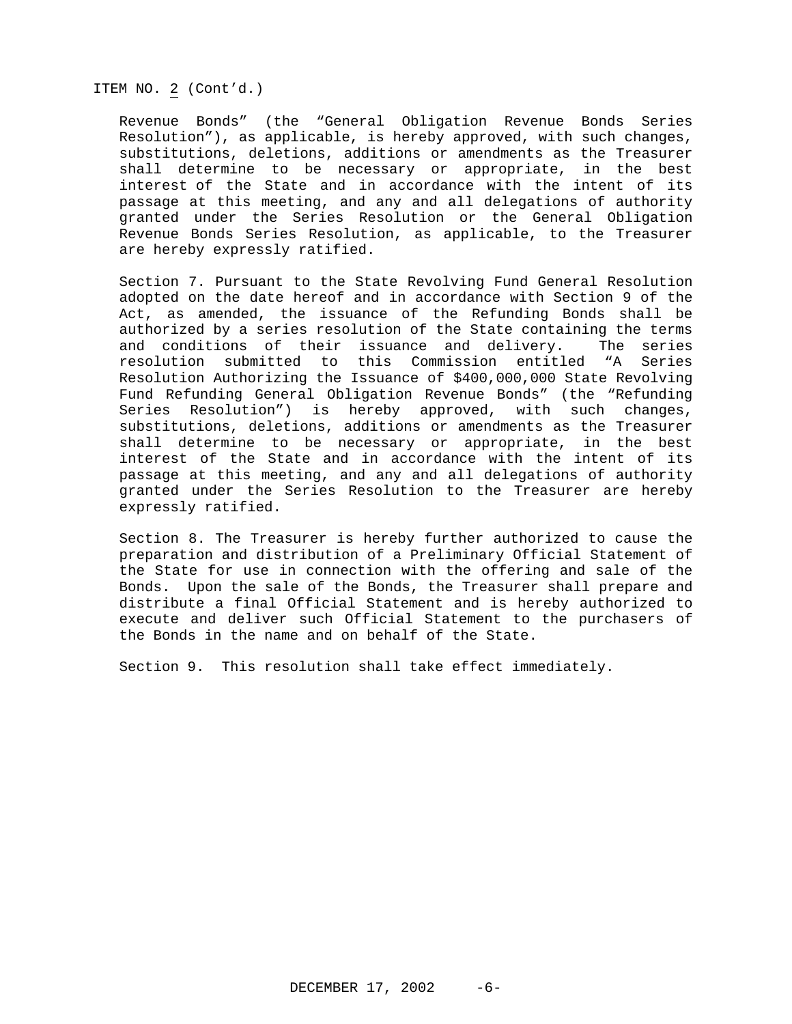#### ITEM NO. 2 (Cont'd.)

Revenue Bonds" (the "General Obligation Revenue Bonds Series Resolution"), as applicable, is hereby approved, with such changes, substitutions, deletions, additions or amendments as the Treasurer shall determine to be necessary or appropriate, in the best interest of the State and in accordance with the intent of its passage at this meeting, and any and all delegations of authority granted under the Series Resolution or the General Obligation Revenue Bonds Series Resolution, as applicable, to the Treasurer are hereby expressly ratified.

Section 7. Pursuant to the State Revolving Fund General Resolution adopted on the date hereof and in accordance with Section 9 of the Act, as amended, the issuance of the Refunding Bonds shall be authorized by a series resolution of the State containing the terms and conditions of their issuance and delivery. The series resolution submitted to this Commission entitled "A Series Resolution Authorizing the Issuance of \$400,000,000 State Revolving Fund Refunding General Obligation Revenue Bonds" (the "Refunding Series Resolution") is hereby approved, with such changes, substitutions, deletions, additions or amendments as the Treasurer shall determine to be necessary or appropriate, in the best interest of the State and in accordance with the intent of its passage at this meeting, and any and all delegations of authority granted under the Series Resolution to the Treasurer are hereby expressly ratified.

Section 8. The Treasurer is hereby further authorized to cause the preparation and distribution of a Preliminary Official Statement of the State for use in connection with the offering and sale of the Bonds. Upon the sale of the Bonds, the Treasurer shall prepare and distribute a final Official Statement and is hereby authorized to execute and deliver such Official Statement to the purchasers of the Bonds in the name and on behalf of the State.

Section 9. This resolution shall take effect immediately.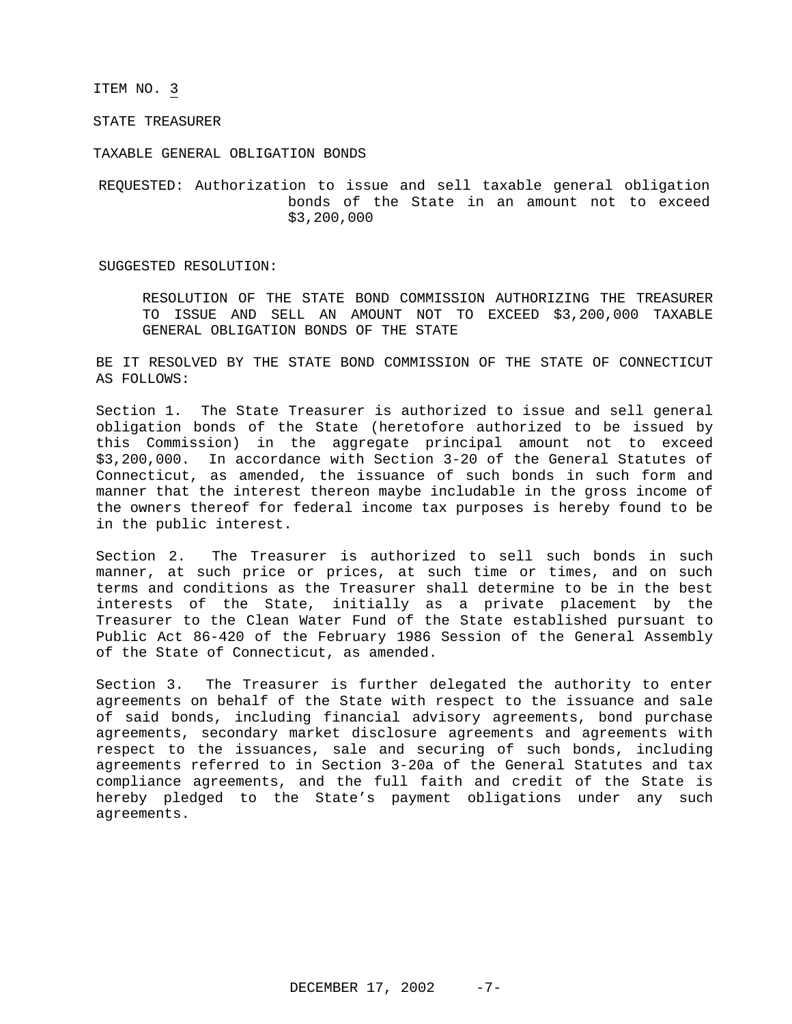STATE TREASURER

TAXABLE GENERAL OBLIGATION BONDS

REQUESTED: Authorization to issue and sell taxable general obligation bonds of the State in an amount not to exceed \$3,200,000

SUGGESTED RESOLUTION:

RESOLUTION OF THE STATE BOND COMMISSION AUTHORIZING THE TREASURER TO ISSUE AND SELL AN AMOUNT NOT TO EXCEED \$3,200,000 TAXABLE GENERAL OBLIGATION BONDS OF THE STATE

BE IT RESOLVED BY THE STATE BOND COMMISSION OF THE STATE OF CONNECTICUT AS FOLLOWS:

Section 1. The State Treasurer is authorized to issue and sell general obligation bonds of the State (heretofore authorized to be issued by this Commission) in the aggregate principal amount not to exceed \$3,200,000. In accordance with Section 3-20 of the General Statutes of Connecticut, as amended, the issuance of such bonds in such form and manner that the interest thereon maybe includable in the gross income of the owners thereof for federal income tax purposes is hereby found to be in the public interest.

Section 2. The Treasurer is authorized to sell such bonds in such manner, at such price or prices, at such time or times, and on such terms and conditions as the Treasurer shall determine to be in the best interests of the State, initially as a private placement by the Treasurer to the Clean Water Fund of the State established pursuant to Public Act 86-420 of the February 1986 Session of the General Assembly of the State of Connecticut, as amended.

Section 3. The Treasurer is further delegated the authority to enter agreements on behalf of the State with respect to the issuance and sale of said bonds, including financial advisory agreements, bond purchase agreements, secondary market disclosure agreements and agreements with respect to the issuances, sale and securing of such bonds, including agreements referred to in Section 3-20a of the General Statutes and tax compliance agreements, and the full faith and credit of the State is hereby pledged to the State's payment obligations under any such agreements.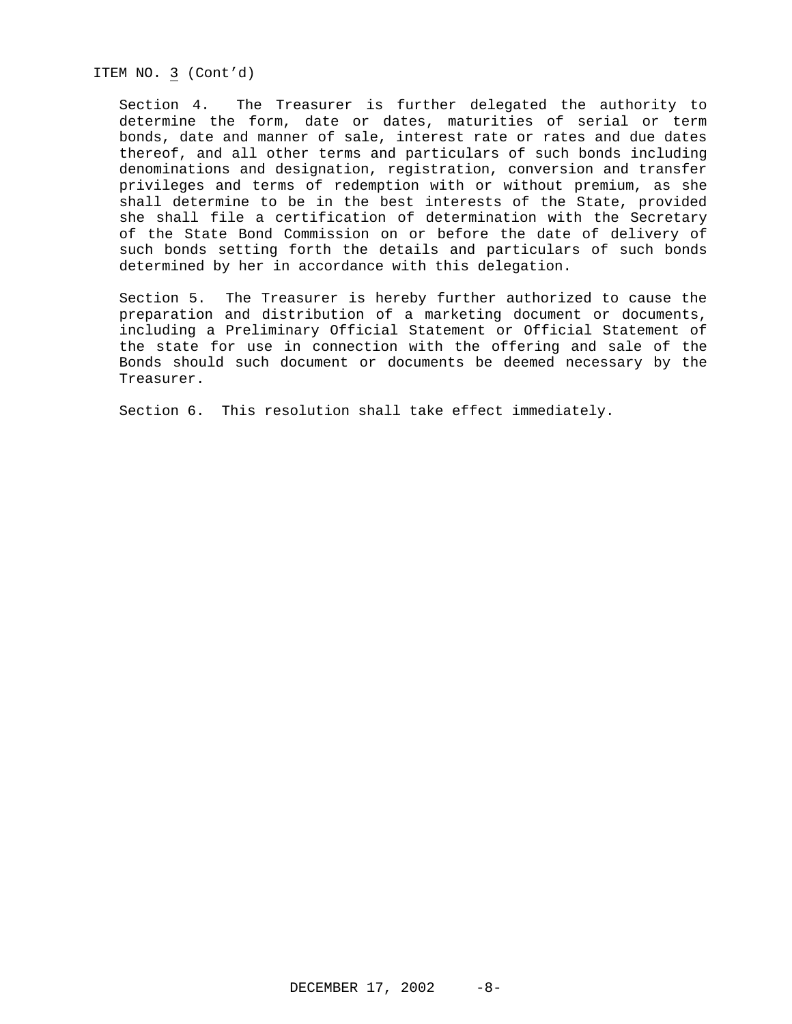ITEM NO. 3 (Cont'd)

Section 4. The Treasurer is further delegated the authority to determine the form, date or dates, maturities of serial or term bonds, date and manner of sale, interest rate or rates and due dates thereof, and all other terms and particulars of such bonds including denominations and designation, registration, conversion and transfer privileges and terms of redemption with or without premium, as she shall determine to be in the best interests of the State, provided she shall file a certification of determination with the Secretary of the State Bond Commission on or before the date of delivery of such bonds setting forth the details and particulars of such bonds determined by her in accordance with this delegation.

Section 5. The Treasurer is hereby further authorized to cause the preparation and distribution of a marketing document or documents, including a Preliminary Official Statement or Official Statement of the state for use in connection with the offering and sale of the Bonds should such document or documents be deemed necessary by the Treasurer.

Section 6. This resolution shall take effect immediately.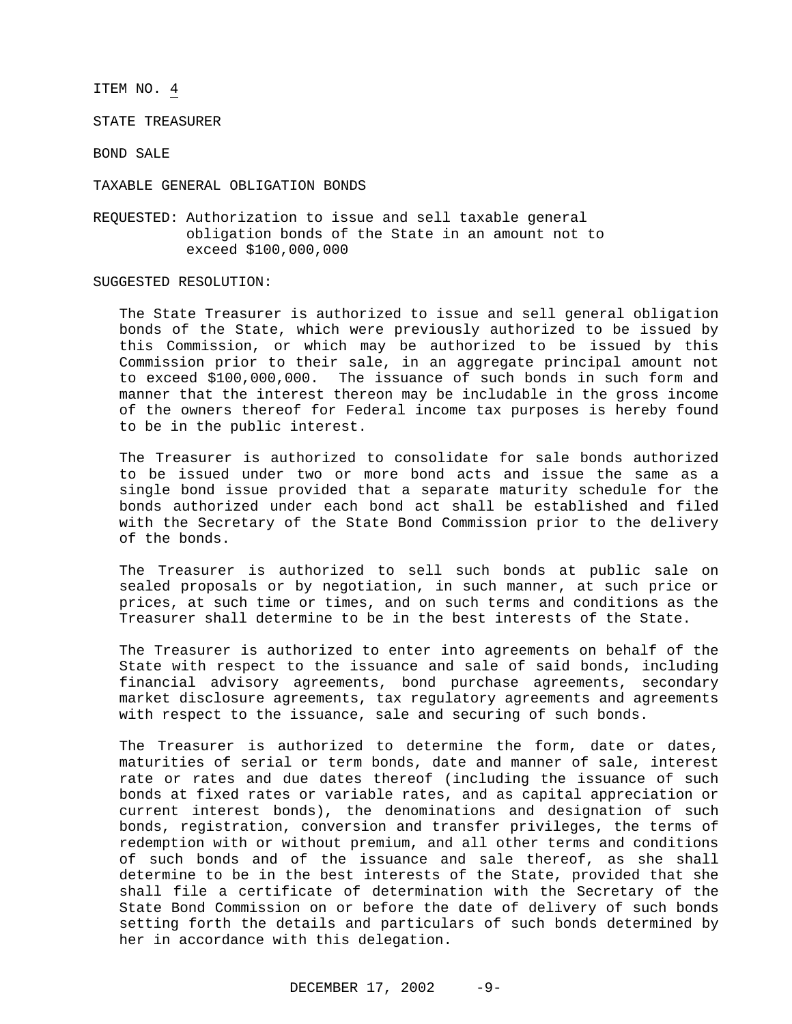STATE TREASURER

BOND SALE

TAXABLE GENERAL OBLIGATION BONDS

REQUESTED: Authorization to issue and sell taxable general obligation bonds of the State in an amount not to exceed \$100,000,000

#### SUGGESTED RESOLUTION:

The State Treasurer is authorized to issue and sell general obligation bonds of the State, which were previously authorized to be issued by this Commission, or which may be authorized to be issued by this Commission prior to their sale, in an aggregate principal amount not to exceed \$100,000,000. The issuance of such bonds in such form and manner that the interest thereon may be includable in the gross income of the owners thereof for Federal income tax purposes is hereby found to be in the public interest.

The Treasurer is authorized to consolidate for sale bonds authorized to be issued under two or more bond acts and issue the same as a single bond issue provided that a separate maturity schedule for the bonds authorized under each bond act shall be established and filed with the Secretary of the State Bond Commission prior to the delivery of the bonds.

The Treasurer is authorized to sell such bonds at public sale on sealed proposals or by negotiation, in such manner, at such price or prices, at such time or times, and on such terms and conditions as the Treasurer shall determine to be in the best interests of the State.

The Treasurer is authorized to enter into agreements on behalf of the State with respect to the issuance and sale of said bonds, including financial advisory agreements, bond purchase agreements, secondary market disclosure agreements, tax regulatory agreements and agreements with respect to the issuance, sale and securing of such bonds.

The Treasurer is authorized to determine the form, date or dates, maturities of serial or term bonds, date and manner of sale, interest rate or rates and due dates thereof (including the issuance of such bonds at fixed rates or variable rates, and as capital appreciation or current interest bonds), the denominations and designation of such bonds, registration, conversion and transfer privileges, the terms of redemption with or without premium, and all other terms and conditions of such bonds and of the issuance and sale thereof, as she shall determine to be in the best interests of the State, provided that she shall file a certificate of determination with the Secretary of the State Bond Commission on or before the date of delivery of such bonds setting forth the details and particulars of such bonds determined by her in accordance with this delegation.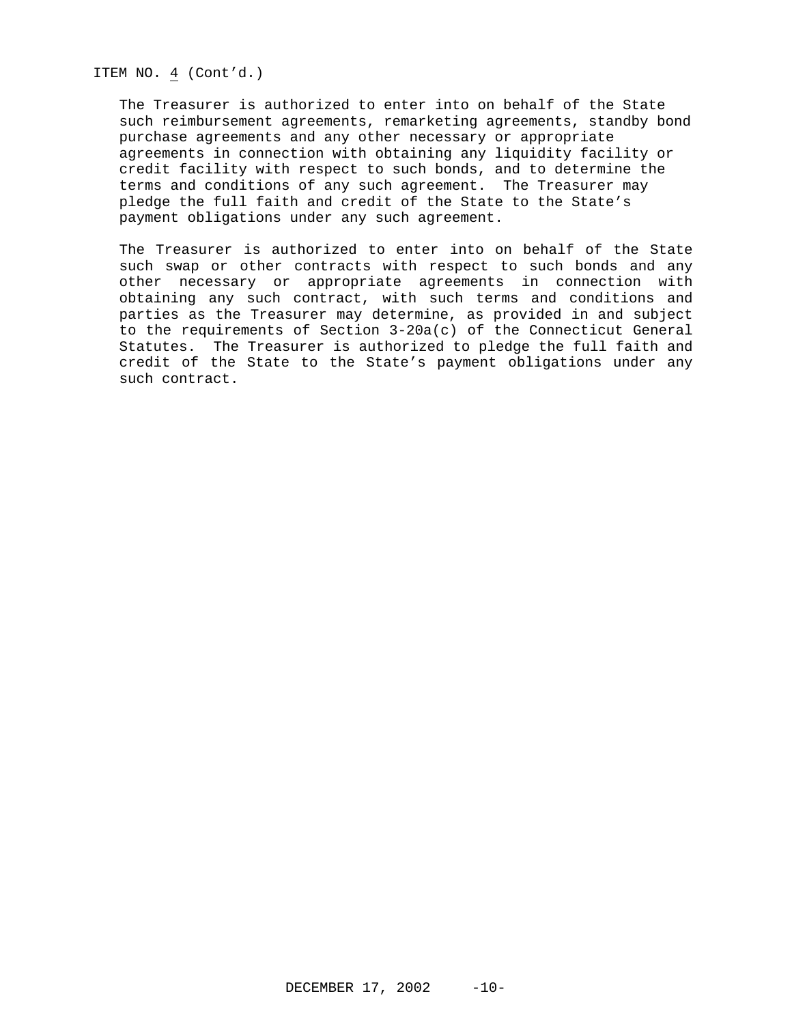ITEM NO. 4 (Cont'd.)

The Treasurer is authorized to enter into on behalf of the State such reimbursement agreements, remarketing agreements, standby bond purchase agreements and any other necessary or appropriate agreements in connection with obtaining any liquidity facility or credit facility with respect to such bonds, and to determine the terms and conditions of any such agreement. The Treasurer may pledge the full faith and credit of the State to the State's payment obligations under any such agreement.

The Treasurer is authorized to enter into on behalf of the State such swap or other contracts with respect to such bonds and any other necessary or appropriate agreements in connection with obtaining any such contract, with such terms and conditions and parties as the Treasurer may determine, as provided in and subject to the requirements of Section 3-20a(c) of the Connecticut General Statutes. The Treasurer is authorized to pledge the full faith and credit of the State to the State's payment obligations under any such contract.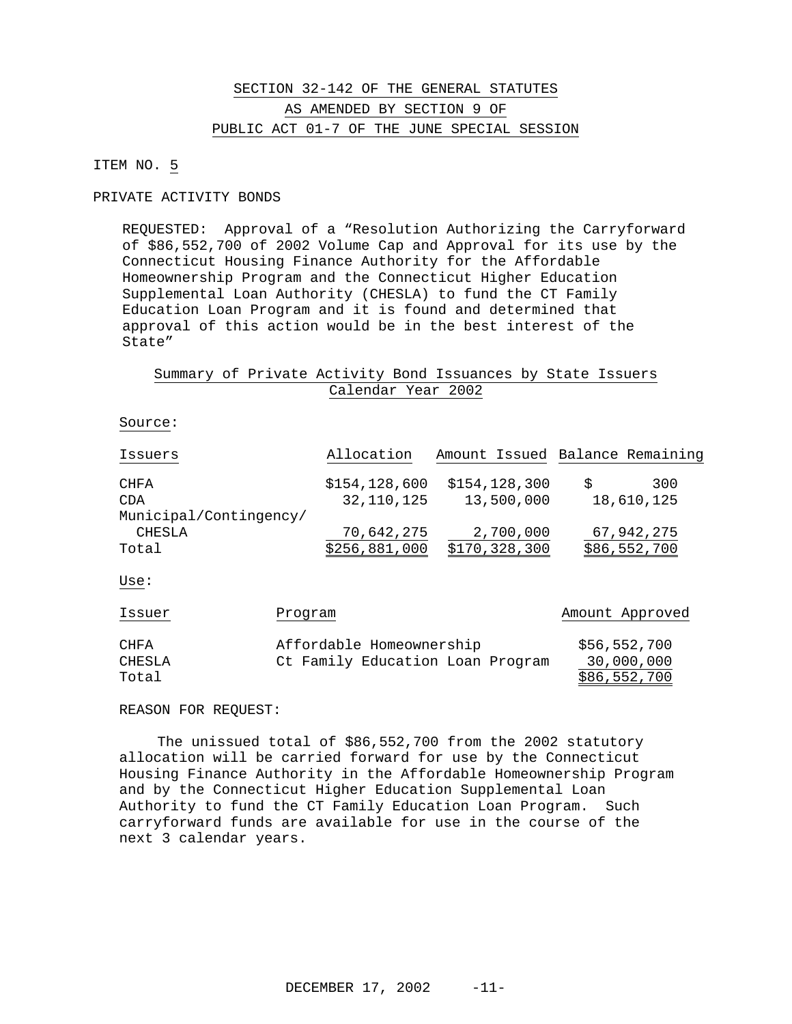# SECTION 32-142 OF THE GENERAL STATUTES AS AMENDED BY SECTION 9 OF PUBLIC ACT 01-7 OF THE JUNE SPECIAL SESSION

### ITEM NO. 5

#### PRIVATE ACTIVITY BONDS

REQUESTED: Approval of a "Resolution Authorizing the Carryforward of \$86,552,700 of 2002 Volume Cap and Approval for its use by the Connecticut Housing Finance Authority for the Affordable Homeownership Program and the Connecticut Higher Education Supplemental Loan Authority (CHESLA) to fund the CT Family Education Loan Program and it is found and determined that approval of this action would be in the best interest of the State"

### Summary of Private Activity Bond Issuances by State Issuers Calendar Year 2002

#### Source:

| Issuers                | Allocation      |               | Amount Issued Balance Remaining |
|------------------------|-----------------|---------------|---------------------------------|
|                        |                 |               |                                 |
| CHFA                   | \$154, 128, 600 | \$154,128,300 | 300                             |
| CDA                    | 32,110,125      | 13,500,000    | 18,610,125                      |
| Municipal/Contingency/ |                 |               |                                 |
| CHESLA                 | 70,642,275      | 2,700,000     | 67,942,275                      |
| Total                  | \$256,881,000   | \$170,328,300 | \$86,552,700                    |

Use:

| Issuer | Program                          | Amount Approved |
|--------|----------------------------------|-----------------|
|        |                                  |                 |
| CHFA   | Affordable Homeownership         | \$56,552,700    |
| CHESLA | Ct Family Education Loan Program | 30,000,000      |
| Total  |                                  | \$86,552,700    |

REASON FOR REQUEST:

The unissued total of \$86,552,700 from the 2002 statutory allocation will be carried forward for use by the Connecticut Housing Finance Authority in the Affordable Homeownership Program and by the Connecticut Higher Education Supplemental Loan Authority to fund the CT Family Education Loan Program. Such carryforward funds are available for use in the course of the next 3 calendar years.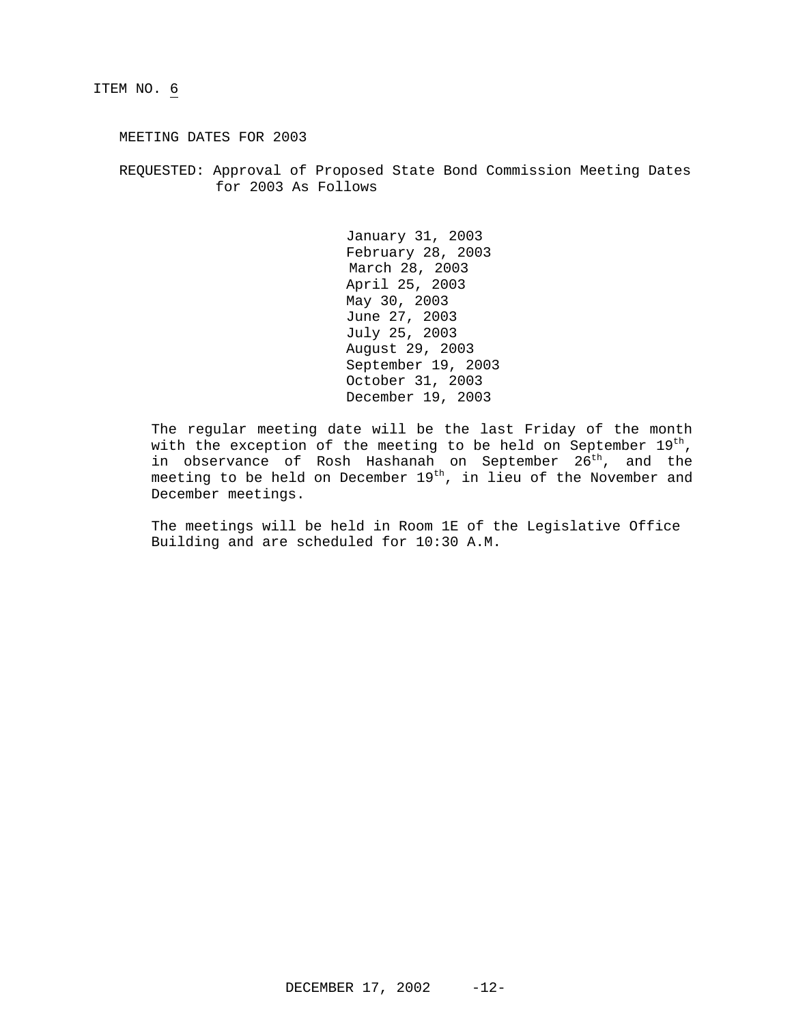MEETING DATES FOR 2003

REQUESTED: Approval of Proposed State Bond Commission Meeting Dates for 2003 As Follows

> January 31, 2003 February 28, 2003 March 28, 2003 April 25, 2003 May 30, 2003 June 27, 2003 July 25, 2003 August 29, 2003 September 19, 2003 October 31, 2003 December 19, 2003

The regular meeting date will be the last Friday of the month with the exception of the meeting to be held on September  $19<sup>th</sup>$ , in observance of Rosh Hashanah on September 26<sup>th</sup>, and the meeting to be held on December 19<sup>th</sup>, in lieu of the November and December meetings.

The meetings will be held in Room 1E of the Legislative Office Building and are scheduled for 10:30 A.M.